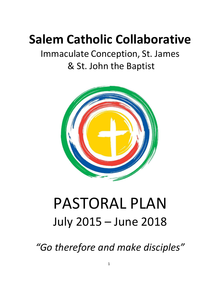## **Salem Catholic Collaborative**

## Immaculate Conception, St. James & St. John the Baptist



## PASTORAL PLAN July 2015 – June 2018

*"Go therefore and make disciples"*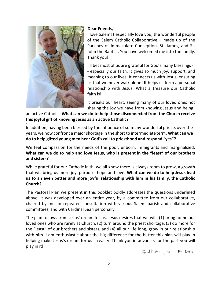

6

#### **Dear Friends,**

I love Salem! I especially love you, the wonderful people of the Salem Catholic Collaborative – made up of the Parishes of Immaculate Conception, St. James, and St. John the Baptist. You have welcomed me into the family. Thank you!

I'll bet most of us are grateful for God's many blessings - - especially our faith. It gives so much joy, support, and meaning to our lives. It connects us with Jesus, ensuring us that we never walk alone! It helps us form a personal relationship with Jesus. What a treasure our Catholic faith is!

It breaks our heart, seeing many of our loved ones not sharing the joy we have from knowing Jesus and being

an active Catholic. **What can we do to help those disconnected from the Church receive this joyful gift of knowing Jesus as an active Catholic?**

In addition, having been blessed by the influence of so many wonderful priests over the years, we now confront a majorshortage in the short to intermediate term. **What can we do to help gifted young men hear God's call to priesthood and respond "yes"?**

We feel compassion for the needs of the poor, unborn, immigrants and marginalized. **What can we do to help and love Jesus, who is present in the "least" of our brothers and sisters?**

While grateful for our Catholic faith, we all know there is always room to grow, a growth that will bring us more joy, purpose, hope and love. **What can we do to help Jesus lead us to an even better and more joyful relationship with him in his family, the Catholic Church?**

The Pastoral Plan we present in this booklet boldly addresses the questions underlined above. It was developed over an entire year, by a committee from our collaborative, chaired by me, in repeated consultation with various Salem parish and collaborative committees, and with Cardinal Sean personally.

The plan follows from Jesus' dream for us. Jesus desires that we will: (1) bring home our loved ones who are rarely at Church, (2) turn around the priest shortage, (3) do more for the "least" of our brothers and sisters, and (4) all our life long, grow in our relationship with him. I am enthusiastic about the big difference for the better this plan will play in helping make Jesus's dream for us a reality. Thank you in advance, for the part you will play in it!

God bless you! -Fr. Dan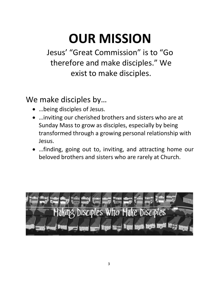## **OUR MISSION**

Jesus' "Great Commission" is to "Go therefore and make disciples." We exist to make disciples.

We make disciples by…

- …being disciples of Jesus.
- …inviting our cherished brothers and sisters who are at Sunday Mass to grow as disciples, especially by being transformed through a growing personal relationship with Jesus.
- …finding, going out to, inviting, and attracting home our beloved brothers and sisters who are rarely at Church.

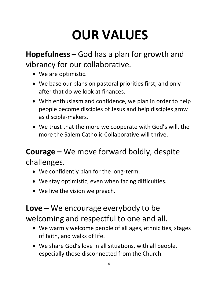## **OUR VALUES**

**Hopefulness –** God has a plan for growth and vibrancy for our collaborative.

- We are optimistic.
- We base our plans on pastoral priorities first, and only after that do we look at finances.
- With enthusiasm and confidence, we plan in order to help people become disciples of Jesus and help disciples grow as disciple-makers.
- We trust that the more we cooperate with God's will, the more the Salem Catholic Collaborative will thrive.

### **Courage –** We move forward boldly, despite challenges.

- We confidently plan for the long-term.
- We stay optimistic, even when facing difficulties.
- We live the vision we preach.

### **Love –** We encourage everybody to be welcoming and respectful to one and all.

- We warmly welcome people of all ages, ethnicities, stages of faith, and walks of life.
- We share God's love in all situations, with all people, especially those disconnected from the Church.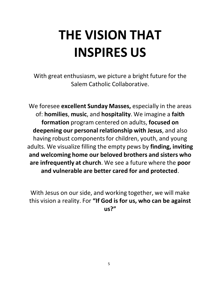# **THE VISION THAT INSPIRES US**

With great enthusiasm, we picture a bright future for the Salem Catholic Collaborative.

We foresee **excellent Sunday Masses,** especially in the areas of: **homilies**, **music**, and **hospitality**. We imagine a **faith formation** program centered on adults, **focused on deepening our personal relationship with Jesus**, and also having robust components for children, youth, and young adults. We visualize filling the empty pews by **finding, inviting and welcoming home our beloved brothers and sisters who are infrequently at church**. We see a future where the **poor and vulnerable are better cared for and protected**.

With Jesus on our side, and working together, we will make this vision a reality. For **"If God is for us, who can be against us?"**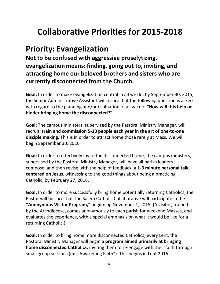## **Collaborative Priorities for 2015-2018**

### **Priority: Evangelization**

**Not to be confused with aggressive proselytizing, evangelization means: finding, going out to, inviting, and attracting home our beloved brothers and sisters who are currently disconnected from the Church.**

**Goal:** In order to make evangelization central in all we do, by September 30, 2015, the Senior Administrative Assistant will insure that the following question is asked with regard to the planning and/or evaluation of all we do: **"How will this help or hinder bringing home the disconnected?"**

**Goal:** The campus ministers, supervised by the Pastoral Ministry Manager, will recruit, **train and commission 5-20 people each year in the art of one-to-one disciple making**. This is in order to attract home those rarely at Mass. We will begin September 30, 2016.

**Goal:** In order to effectively invite the disconnected home, the campus ministers, supervised by the Pastoral Ministry Manager, will have all parish leaders compose, and then revise with the help of feedback, a **1-3 minute personal talk, centered on Jesus**, witnessing to the good things about being a practicing Catholic, by February 27, 2016.

**Goal:** In order to more successfully bring home potentially returning Catholics, the Pastor will be sure that The Salem Catholic Collaborative will participate in the **"Anonymous Visitor Program,"** beginning November 1, 2015. (A visitor, trained by the Archdiocese, comes anonymously to each parish for weekend Masses, and evaluates the experience, with a special emphasis on what it would be like for a returning Catholic.)

**Goal:** In order to bring home more disconnected Catholics, every Lent, the Pastoral Ministry Manager will begin **a program aimed primarily at bringing home disconnected Catholics**, inviting them to re-engage with their faith through small group sessions (ex. "Awakening Faith"). This begins in Lent 2016.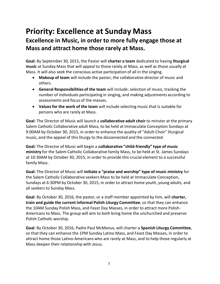## **Priority: Excellence at Sunday Mass**

#### **Excellence in Music, in order to more fully engage those at Mass and attract home those rarely at Mass.**

**Goal:** By September 30, 2015, the Pastor will **charter a team** dedicated to having **liturgical music** at Sunday Mass that will appeal to those rarely at Mass, as well as those usually at Mass. It will also seek the conscious active participation of all in the singing.

- **Makeup of team** will include the pastor, the collaborative director of music and others.
- **General Responsibilities of the team** will include: selection of music, tracking the number of individuals participating in singing, and making adjustments according to assessments and focus of the masses.
- **Valuesfor the work of the team** will include selecting music that is suitable for persons who are rarely at Mass.

**Goal**: The Director of Music will launch a **collaborative adult choir** to minster at the primary Salem Catholic Collaborative adult Mass, to be held at Immaculate Conception Sundays at 9:00AM by October 30, 2015, in order to enhance the quality of "Adult-Choir" liturgical music, and the appeal of this liturgy to the disconnected and the connected.

**Goal:** The Director of Music will begin a **collaborative "child-friendly" type of music ministry** for the Salem Catholic Collaborative family Mass, to be held at St. James Sundays at 10:30AM by October 30, 2015, in order to provide this crucial element to a successful family Mass.

**Goal:** The Director of Music will **initiate a "praise and worship" type of music ministry** for the Salem Catholic Collaborative seekers Mass to be held at Immaculate Conception, Sundays at 6:30PM by October 30, 2015, in order to attract home youth, young adults, and all seekers to Sunday Mass.

**Goal**: By October 30, 2016, the pastor, or a staff member appointed by him, will **charter, train and guide the current informal Polish Liturgy Committee**,so that they can enhance the 10AM Sunday Polish Mass, and Feast Day Masses, in order to attract more Polish-Americans to Mass. The group will aim to both bring home the unchurched and preserve Polish Catholic worship.

**Goal**: By October 30, 2016, Padre Paul McManus, will charter a **Spanish Liturgy Committee**, so that they can enhance the 1PM Sunday Latino Mass, and Feast Day Masses, in order to attract home those Latino-Americans who are rarely at Mass, and to help those regularly at Mass deepen their relationship with Jesus.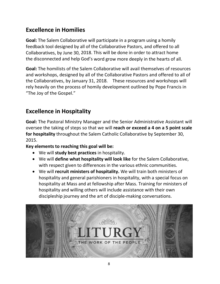#### **Excellence in Homilies**

**Goal:** The Salem Collaborative will participate in a program using a homily feedback tool designed by all of the Collaborative Pastors, and offered to all Collaboratives, by June 30, 2018. This will be done in order to attract home the disconnected and help God's word grow more deeply in the hearts of all.

**Goal:** The homilists of the Salem Collaborative will avail themselves of resources and workshops, designed by all of the Collaborative Pastors and offered to all of the Collaboratives, by January 31, 2018. These resources and workshops will rely heavily on the process of homily development outlined by Pope Francis in "The Joy of the Gospel."

#### **Excellence in Hospitality**

**Goal:** The Pastoral Ministry Manager and the Senior Administrative Assistant will oversee the taking of steps so that we will **reach or exceed a 4 on a 5 point scale for hospitality** throughout the Salem Catholic Collaborative by September 30, 2015.

**Key elements to reaching this goal will be:**

- We will **study best practices** in hospitality.
- We will **define what hospitality will look like** for the Salem Collaborative, with respect given to differences in the various ethnic communities.
- We will **recruit ministers of hospitality.** We will train both ministers of hospitality and general parishioners in hospitality, with a special focus on hospitality at Mass and at fellowship after Mass. Training for ministers of hospitality and willing others will include assistance with their own discipleship journey and the art of disciple-making conversations.

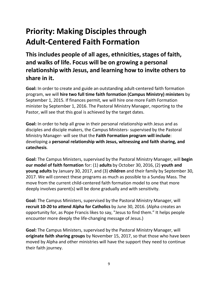## **Priority: Making Disciplesthrough Adult-Centered Faith Formation**

**This includes people of all ages, ethnicities,stages of faith, and walks of life. Focus will be on growing a personal relationship with Jesus, and learning how to invite others to share in it.**

**Goal:** In order to create and guide an outstanding adult-centered faith formation program, we will **hire two full time faith formation (Campus Ministry) ministers** by September 1, 2015. If finances permit, we will hire one more Faith Formation minister by September 1, 2016. The Pastoral Ministry Manager, reporting to the Pastor, will see that this goal is achieved by the target dates.

**Goal:** In order to help all grow in their personal relationship with Jesus and as disciples and disciple makers, the Campus Ministers- supervised by the Pastoral Ministry Manager- will see that the **Faith Formation program will include**: developing a **personal relationship with Jesus, witnessing and faith sharing, and catechesis**.

**Goal:** The Campus Ministers, supervised by the Pastoral Ministry Manager, will **begin our model of faith formation** for: (1) **adults** by October 30, 2016, (2) **youth and young adults** by January 30, 2017, and (3) **children** and their family by September 30, 2017. We will connect these programs as much as possible to a Sunday Mass. The move from the current child-centered faith formation model to one that more deeply involves parent(s) will be done gradually and with sensitivity.

**Goal:** The Campus Ministers, supervised by the Pastoral Ministry Manager, will **recruit 10-20 to attend Alpha for Catholics** by June 30, 2016. (Alpha creates an opportunity for, as Pope Francis likes to say, "Jesus to find them." It helps people encounter more deeply the life-changing message of Jesus.)

**Goal:** The Campus Ministers, supervised by the Pastoral Ministry Manager, will **originate faith sharing groups** by November 15, 2017, so that those who have been moved by Alpha and other ministries will have the support they need to continue their faith journey.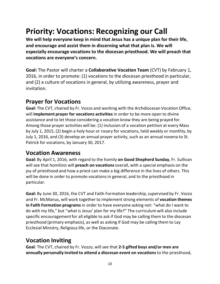## **Priority: Vocations: Recognizing our Call**

**We will help everyone keep in mind that Jesus has a unique plan for their life, and encourage and assist them in discerning what that plan is. We will especially encourage vocations to the diocesan priesthood. We will preach that vocations are everyone's concern.**

**Goal:** The Pastor will charter a **Collaborative Vocation Team** (CVT) by February 1, 2016, in order to promote: (1) vocations to the diocesan priesthood in particular, and (2) a culture of vocations in general, by utilizing awareness, prayer and invitation.

#### **Prayer for Vocations**

**Goal:** The CVT, chaired by Fr. Vozzo and working with the Archdiocesan Vocation Office, will **implement prayer for vocations activities** in order to be more open to divine assistance and to let those considering a vocation know they are being prayed for. Among those prayer activities will be: (1) inclusion of a vocation petition at every Mass by July 1, 2015, (2) begin a holy hour or rosary for vocations, held weekly or monthly, by July 1, 2016, and (3) develop an annual prayer activity, such as an annual novena to St. Patrick for vocations, by January 30, 2017.

#### **Vocation Awareness**

**Goal:** By April 1, 2016, with regard to the homily **on Good Shepherd Sunday**, Fr. Sullivan will see that homilists will **preach on vocations** overall, with a special emphasis on the joy of priesthood and how a priest can make a big difference in the lives of others. This will be done in order to promote vocations in general, and to the priesthood in particular.

**Goal:** By June 30, 2016, the CVT and Faith Formation leadership, supervised by Fr. Vozzo and Fr. McManus, will work together to implementstrong elements of **vocation themes in Faith Formation programs**in order to have everyone asking not: "what do I want to do with my life," but "what is Jesus' plan for my life?" The curriculum will also include specific encouragement for all eligible to ask if God may be calling them to the diocesan priesthood (primary emphasis), as well as asking if God may be calling them to Lay Ecclesial Ministry, Religious life, or the Diaconate.

#### **Vocation Inviting**

**Goal**: The CVT, chaired by Fr. Vozzo, will see that **2-5 gifted boys and/or men are annually personally invited to attend a diocesan event on vocations** to the priesthood,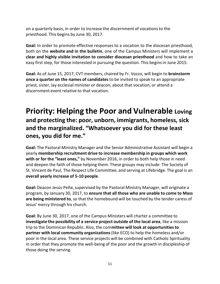on a quarterly basis, in order to increase the discernment of vocationsto the priesthood. This begins by June 30, 2017.

**Goal:** In order to promote effective responses to a vocation to the diocesan priesthood, both on the **website and in the bulletin**, one of the Campus Ministers will implement a **clear and highly visible invitation to consider diocesan priesthood** and how to take an easy first step, for those interested in pursuing the question. This begins in June 2015.

**Goal:** As of June 15, 2017, CVT members, chaired by Fr. Vozzo, will begin to **brainstorm once a quarter on the names of candidates**to be invited to speak to an appropriate priest, sister, lay ecclesial minister or deacon, about that vocation, or attend a discernment event relative to that vocation.

#### **Priority: Helping the Poor and Vulnerable Loving and protecting the: poor, unborn, immigrants, homeless, sick and the marginalized. "Whatsoever you did for these least ones, you did for me."**

**Goal:** The Pastoral Ministry Manager and the Senior Administrative Assistant will begin a yearly **membership recruitment drive to increase membership in groups which work with or for the "least ones,"** by November 2016, in order to both help those in need and deepen the faith of those helping them. These groups may include: The Society of St. Vincent de Paul, The Respect Life Committee, and serving at Lifebridge. The goal is an **overall yearly increase of 5-10 people**.

**Goal:** Deacon Jesús Peña, supervised by the Pastoral Ministry Manager, will originate a program, by January 30, 2017, to **ensure that all those who are unable to come to Mass are being ministered to**, so that the homebound will be touched by the tender caress of Jesus' mercy through his church.

**Goal:** By June 30, 2017, one of the Campus Ministers will charter a committee to **investigate the possibility of a service project outside of the local area**, like a mission trip to the Dominican Republic. Also, the com**mittee will look at opportunitiesto partner with local community organizations**(like ECO) to help the homeless and/or poor in the local area. These service projects will be combined with Catholic Spirituality in order that they promote the well-being of the poor and the growth in discipleship of those doing the serving.